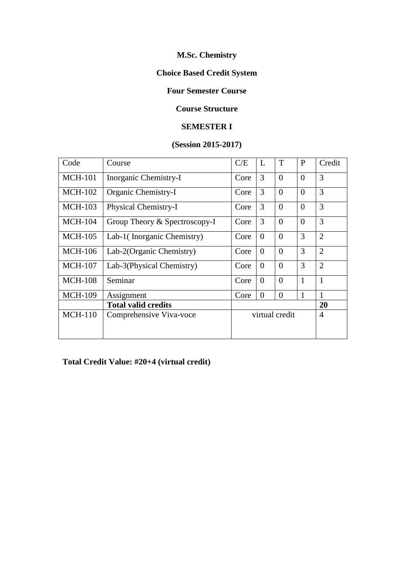## **M.Sc. Chemistry**

## **Choice Based Credit System**

#### **Four Semester Course**

#### **Course Structure**

#### **SEMESTER I**

## **(Session 2015-2017)**

| Code           | Course                        | C/E            | L        | T        | P            | Credit         |
|----------------|-------------------------------|----------------|----------|----------|--------------|----------------|
| <b>MCH-101</b> | Inorganic Chemistry-I         | Core           | 3        | $\theta$ | $\theta$     | 3              |
| <b>MCH-102</b> | Organic Chemistry-I           | Core           | 3        | $\theta$ | $\theta$     | 3              |
| <b>MCH-103</b> | Physical Chemistry-I          | Core           | 3        | $\theta$ | $\theta$     | 3              |
| <b>MCH-104</b> | Group Theory & Spectroscopy-I | Core           | 3        | $\theta$ | $\theta$     | 3              |
| <b>MCH-105</b> | Lab-1(Inorganic Chemistry)    | Core           | $\Omega$ | $\theta$ | 3            | $\overline{2}$ |
| <b>MCH-106</b> | Lab-2(Organic Chemistry)      | Core           | $\Omega$ | $\theta$ | 3            | $\overline{2}$ |
| <b>MCH-107</b> | Lab-3(Physical Chemistry)     | Core           | $\Omega$ | $\theta$ | 3            | $\overline{2}$ |
| <b>MCH-108</b> | Seminar                       | Core           | $\Omega$ | $\theta$ | 1            | 1              |
| <b>MCH-109</b> | Assignment                    | Core           | $\Omega$ | $\theta$ | $\mathbf{1}$ | 1              |
|                | <b>Total valid credits</b>    |                |          |          |              | 20             |
| $MCH-110$      | Comprehensive Viva-voce       | virtual credit |          |          | 4            |                |

**Total Credit Value: #20+4 (virtual credit)**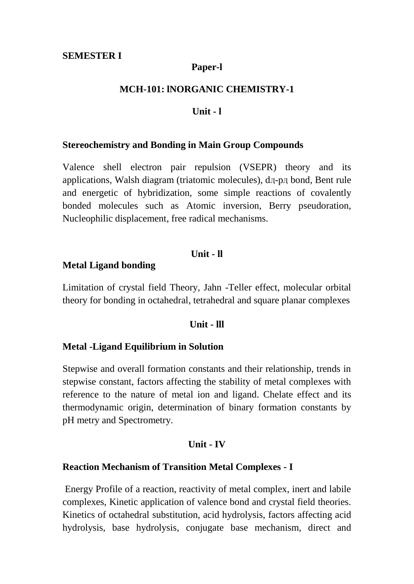## **Paper-l**

## **MCH-101: lNORGANIC CHEMISTRY-1**

#### **Unit - l**

#### **Stereochemistry and Bonding in Main Group Compounds**

Valence shell electron pair repulsion (VSEPR) theory and its applications, Walsh diagram (triatomic molecules), dӆ-pӆ bond, Bent rule and energetic of hybridization, some simple reactions of covalently bonded molecules such as Atomic inversion, Berry pseudoration, Nucleophilic displacement, free radical mechanisms.

#### **Unit - ll**

#### **Metal Ligand bonding**

Limitation of crystal field Theory, Jahn -Teller effect, molecular orbital theory for bonding in octahedral, tetrahedral and square planar complexes

#### **Unit - lll**

#### **Metal -Ligand Equilibrium in Solution**

Stepwise and overall formation constants and their relationship, trends in stepwise constant, factors affecting the stability of metal complexes with reference to the nature of metal ion and ligand. Chelate effect and its thermodynamic origin, determination of binary formation constants by pH metry and Spectrometry.

#### **Unit - IV**

#### **Reaction Mechanism of Transition Metal Complexes - I**

Energy Profile of a reaction, reactivity of metal complex, inert and labile complexes, Kinetic application of valence bond and crystal field theories. Kinetics of octahedral substitution, acid hydrolysis, factors affecting acid hydrolysis, base hydrolysis, conjugate base mechanism, direct and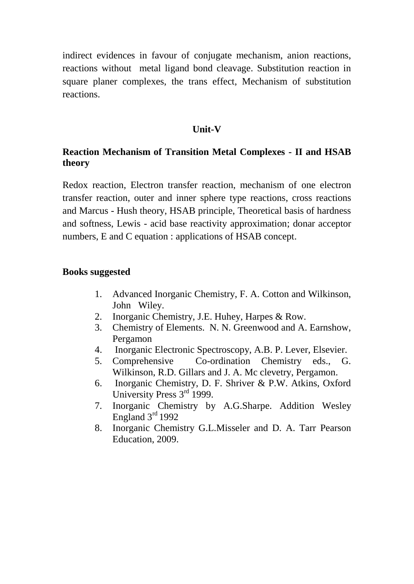indirect evidences in favour of conjugate mechanism, anion reactions, reactions without metal ligand bond cleavage. Substitution reaction in square planer complexes, the trans effect, Mechanism of substitution reactions.

## **Unit-V**

# **Reaction Mechanism of Transition Metal Complexes - II and HSAB theory**

Redox reaction, Electron transfer reaction, mechanism of one electron transfer reaction, outer and inner sphere type reactions, cross reactions and Marcus - Hush theory, HSAB principle, Theoretical basis of hardness and softness, Lewis - acid base reactivity approximation; donar acceptor numbers, E and C equation : applications of HSAB concept.

#### **Books suggested**

- 1. Advanced Inorganic Chemistry, F. A. Cotton and Wilkinson, John Wiley.
- 2. Inorganic Chemistry, J.E. Huhey, Harpes & Row.
- 3. Chemistry of Elements. N. N. Greenwood and A. Earnshow, Pergamon
- 4. Inorganic Electronic Spectroscopy, A.B. P. Lever, Elsevier.
- 5. Comprehensive Co-ordination Chemistry eds., G. Wilkinson, R.D. Gillars and J. A. Mc clevetry, Pergamon.
- 6. Inorganic Chemistry, D. F. Shriver & P.W. Atkins, Oxford University Press 3rd 1999.
- 7. Inorganic Chemistry by A.G.Sharpe. Addition Wesley England  $3<sup>rd</sup>$  1992
- 8. Inorganic Chemistry G.L.Misseler and D. A. Tarr Pearson Education, 2009.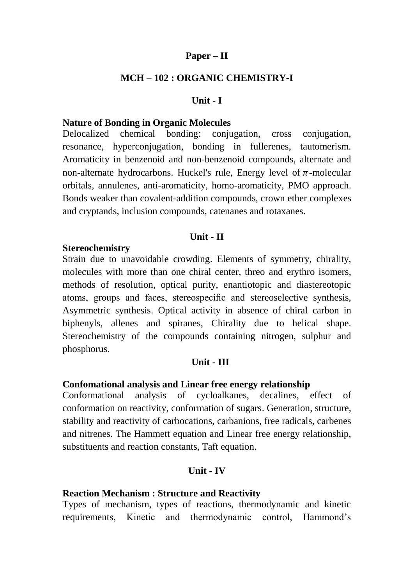## **Paper – II**

## **MCH – 102 : ORGANIC CHEMISTRY-I**

#### **Unit - I**

#### **Nature of Bonding in Organic Molecules**

Delocalized chemical bonding: conjugation, cross conjugation, resonance, hyperconjugation, bonding in fullerenes, tautomerism. Aromaticity in benzenoid and non-benzenoid compounds, alternate and non-alternate hydrocarbons. Huckel's rule, Energy level of  $\pi$ -molecular orbitals, annulenes, anti-aromaticity, homo-aromaticity, PMO approach. Bonds weaker than covalent-addition compounds, crown ether complexes and cryptands, inclusion compounds, catenanes and rotaxanes.

#### **Unit - II**

#### **Stereochemistry**

Strain due to unavoidable crowding. Elements of symmetry, chirality, molecules with more than one chiral center, threo and erythro isomers, methods of resolution, optical purity, enantiotopic and diastereotopic atoms, groups and faces, stereospecific and stereoselective synthesis, Asymmetric synthesis. Optical activity in absence of chiral carbon in biphenyls, allenes and spiranes, Chirality due to helical shape. Stereochemistry of the compounds containing nitrogen, sulphur and phosphorus.

#### **Unit - III**

## **Confomational analysis and Linear free energy relationship**

Conformational analysis of cycloalkanes, decalines, effect of conformation on reactivity, conformation of sugars. Generation, structure, stability and reactivity of carbocations, carbanions, free radicals, carbenes and nitrenes. The Hammett equation and Linear free energy relationship, substituents and reaction constants, Taft equation.

#### **Unit - IV**

#### **Reaction Mechanism : Structure and Reactivity**

Types of mechanism, types of reactions, thermodynamic and kinetic requirements, Kinetic and thermodynamic control, Hammond's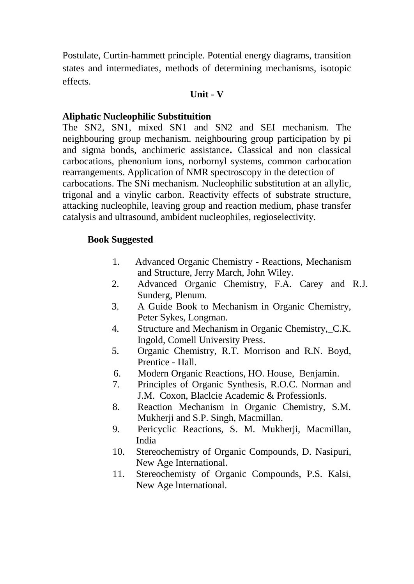Postulate, Curtin-hammett principle. Potential energy diagrams, transition states and intermediates, methods of determining mechanisms, isotopic effects.

#### **Unit - V**

## **Aliphatic Nucleophilic Substituition**

The SN2, SN1, mixed SN1 and SN2 and SEI mechanism. The neighbouring group mechanism. neighbouring group participation by pi and sigma bonds, anchimeric assistance**.** Classical and non classical carbocations, phenonium ions, norbornyl systems, common carbocation rearrangements. Application of NMR spectroscopy in the detection of carbocations. The SNi mechanism. Nucleophilic substitution at an allylic, trigonal and a vinylic carbon. Reactivity effects of substrate structure, attacking nucleophile, leaving group and reaction medium, phase transfer catalysis and ultrasound, ambident nucleophiles, regioselectivity.

## **Book Suggested**

- 1. Advanced Organic Chemistry Reactions, Mechanism and Structure, Jerry March, John Wiley.
- 2. Advanced Organic Chemistry, F.A. Carey and R.J. Sunderg, Plenum.
- 3. A Guide Book to Mechanism in Organic Chemistry, Peter Sykes, Longman.
- 4. Structure and Mechanism in Organic Chemistry, C.K. Ingold, Comell University Press.
- 5. Organic Chemistry, R.T. Morrison and R.N. Boyd, Prentice - Hall.
- 6. Modern Organic Reactions, HO. House, Benjamin.
- 7. Principles of Organic Synthesis, R.O.C. Norman and J.M. Coxon, Blaclcie Academic & Professionls.
- 8. Reaction Mechanism in Organic Chemistry, S.M. Mukherji and S.P. Singh, Macmillan.
- 9. Pericyclic Reactions, S. M. Mukherji, Macmillan, India
- 10. Stereochemistry of Organic Compounds, D. Nasipuri, New Age International.
- 11. Stereochemisty of Organic Compounds, P.S. Kalsi, New Age lnternational.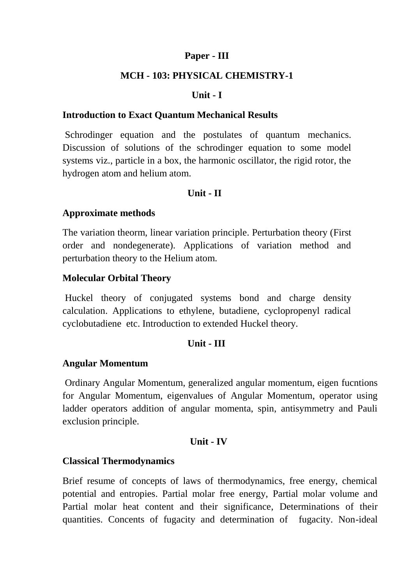## **Paper - III**

## **MCH - 103: PHYSICAL CHEMISTRY-1**

## **Unit - I**

## **Introduction to Exact Quantum Mechanical Results**

Schrodinger equation and the postulates of quantum mechanics. Discussion of solutions of the schrodinger equation to some model systems viz., particle in a box, the harmonic oscillator, the rigid rotor, the hydrogen atom and helium atom.

## **Unit - II**

## **Approximate methods**

The variation theorm, linear variation principle. Perturbation theory (First order and nondegenerate). Applications of variation method and perturbation theory to the Helium atom.

## **Molecular Orbital Theory**

Huckel theory of conjugated systems bond and charge density calculation. Applications to ethylene, butadiene, cyclopropenyl radical cyclobutadiene etc. Introduction to extended Huckel theory.

#### **Unit - III**

#### **Angular Momentum**

Ordinary Angular Momentum, generalized angular momentum, eigen fucntions for Angular Momentum, eigenvalues of Angular Momentum, operator using ladder operators addition of angular momenta, spin, antisymmetry and Pauli exclusion principle.

#### **Unit - IV**

## **Classical Thermodynamics**

Brief resume of concepts of laws of thermodynamics, free energy, chemical potential and entropies. Partial molar free energy, Partial molar volume and Partial molar heat content and their significance, Determinations of their quantities. Concents of fugacity and determination of fugacity. Non-ideal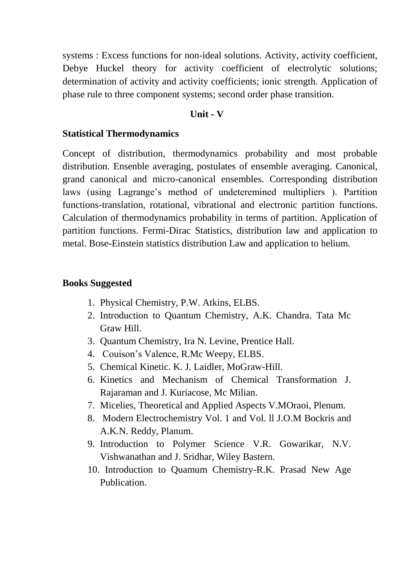systems : Excess functions for non-ideal solutions. Activity, activity coefficient, Debye Huckel theory for activity coefficient of electrolytic solutions; determination of activity and activity coefficients; ionic strength. Application of phase rule to three component systems; second order phase transition.

#### **Unit - V**

#### **Statistical Thermodynamics**

Concept of distribution, thermodynamics probability and most probable distribution. Ensenble averaging, postulates of ensemble averaging. Canonical, grand canonical and micro-canonical ensembles. Corresponding distribution laws (using Lagrange's method of undeteremined multipliers ). Partition functions-translation, rotational, vibrational and electronic partition functions. Calculation of thermodynamics probability in terms of partition. Application of partition functions. Fermi-Dirac Statistics, distribution law and application to metal. Bose-Einstein statistics distribution Law and application to helium.

#### **Books Suggested**

- 1. Physical Chemistry, P.W. Atkins, ELBS.
- 2. Introduction to Quantum Chemistry, A.K. Chandra. Tata Mc Graw Hill.
- 3. Quantum Chemistry, Ira N. Levine, Prentice Hall.
- 4. Couison's Valence, R.Mc Weepy, ELBS.
- 5. Chemical Kinetic. K. J. Laidler, MoGraw-Hill.
- 6. Kinetics and Mechanism of Chemical Transformation J. Rajaraman and J. Kuriacose, Mc Milian.
- 7. Micelies, Theoretical and Applied Aspects V.MOraoi, Plenum.
- 8. Modern Electrochemistry Vol. 1 and Vol. ll J.O.M Bockris and A.K.N. Reddy, Planum.
- 9. Introduction to Polymer Science V.R. Gowarikar, N.V. Vishwanathan and J. Sridhar, Wiley Bastern.
- 10. Introduction to Quamum Chemistry-R.K. Prasad New Age Publication.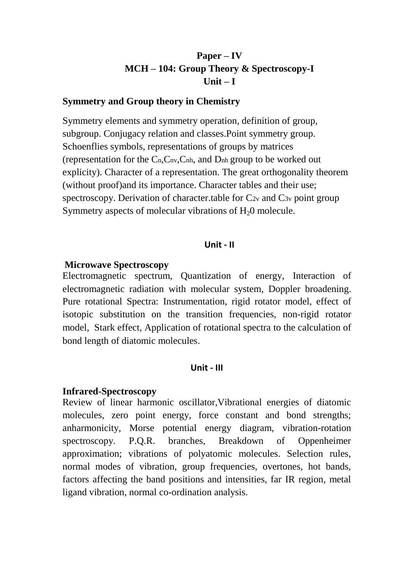# **Paper – IV MCH – 104: Group Theory & Spectroscopy-I Unit – I**

#### **Symmetry and Group theory in Chemistry**

Symmetry elements and symmetry operation, definition of group, subgroup. Conjugacy relation and classes.Point symmetry group. Schoenflies symbols, representations of groups by matrices (representation for the Cn,Cnv,Cnh, and Dnh group to be worked out explicity). Character of a representation. The great orthogonality theorem (without proof)and its importance. Character tables and their use; spectroscopy. Derivation of character.table for  $C_{2v}$  and  $C_{3v}$  point group Symmetry aspects of molecular vibrations of  $H<sub>2</sub>0$  molecule.

#### **Unit - II**

#### **Microwave Spectroscopy**

Electromagnetic spectrum, Quantization of energy, Interaction of electromagnetic radiation with molecular system, Doppler broadening. Pure rotational Spectra: Instrumentation, rigid rotator model, effect of isotopic substitution on the transition frequencies, non-rigid rotator model, Stark effect, Application of rotational spectra to the calculation of bond length of diatomic molecules.

#### **Unit - III**

#### **Infrared-Spectroscopy**

Review of linear harmonic oscillator,Vibrational energies of diatomic molecules, zero point energy, force constant and bond strengths; anharmonicity, Morse potential energy diagram, vibration-rotation spectroscopy. P.Q.R. branches, Breakdown of Oppenheimer approximation; vibrations of polyatomic molecules. Selection rules, normal modes of vibration, group frequencies, overtones, hot bands, factors affecting the band positions and intensities, far IR region, metal ligand vibration, normal co-ordination analysis.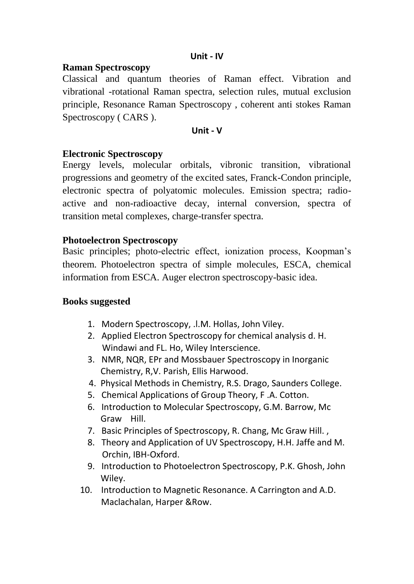## **Unit - IV**

## **Raman Spectroscopy**

Classical and quantum theories of Raman effect. Vibration and vibrational -rotational Raman spectra, selection rules, mutual exclusion principle, Resonance Raman Spectroscopy , coherent anti stokes Raman Spectroscopy ( CARS ).

#### **Unit - V**

## **Electronic Spectroscopy**

Energy levels, molecular orbitals, vibronic transition, vibrational progressions and geometry of the excited sates, Franck-Condon principle, electronic spectra of polyatomic molecules. Emission spectra; radioactive and non-radioactive decay, internal conversion, spectra of transition metal complexes, charge-transfer spectra.

## **Photoelectron Spectroscopy**

Basic principles; photo-electric effect, ionization process, Koopman's theorem. Photoelectron spectra of simple molecules, ESCA, chemical information from ESCA. Auger electron spectroscopy-basic idea.

#### **Books suggested**

- 1. Modern Spectroscopy, .l.M. Hollas, John Viley.
- 2. Applied Electron Spectroscopy for chemical analysis d. H. Windawi and FL. Ho, Wiley Interscience.
- 3. NMR, NQR, EPr and Mossbauer Spectroscopy in Inorganic Chemistry, R,V. Parish, Ellis Harwood.
- 4. Physical Methods in Chemistry, R.S. Drago, Saunders College.
- 5. Chemical Applications of Group Theory, F .A. Cotton.
- 6. Introduction to Molecular Spectroscopy, G.M. Barrow, Mc Graw Hill.
- 7. Basic Principles of Spectroscopy, R. Chang, Mc Graw Hill. ,
- 8. Theory and Application of UV Spectroscopy, H.H. Jaffe and M. Orchin, IBH-Oxford.
- 9. Introduction to Photoelectron Spectroscopy, P.K. Ghosh, John Wiley.
- 10. Introduction to Magnetic Resonance. A Carrington and A.D. Maclachalan, Harper &Row.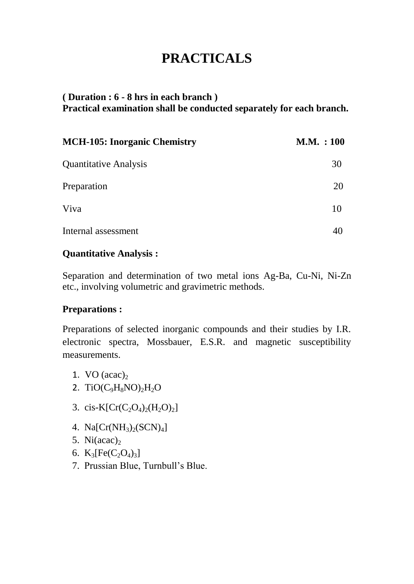# **PRACTICALS**

# **( Duration : 6 - 8 hrs in each branch ) Practical examination shall be conducted separately for each branch.**

| <b>MCH-105: Inorganic Chemistry</b> | M.M. : 100 |
|-------------------------------------|------------|
| <b>Quantitative Analysis</b>        | 30         |
| Preparation                         | 20         |
| Viva                                | 10         |
| Internal assessment                 |            |

# **Quantitative Analysis :**

Separation and determination of two metal ions Ag-Ba, Cu-Ni, Ni-Zn etc., involving volumetric and gravimetric methods.

## **Preparations :**

Preparations of selected inorganic compounds and their studies by I.R. electronic spectra, Mossbauer, E.S.R. and magnetic susceptibility measurements.

- 1. VO  $(\text{acac})_2$
- 2. TiO( $C_9H_8NO$ )<sub>2</sub>H<sub>2</sub>O
- 3. cis-K[ $Cr(C_2O_4)_2(H_2O)_2$ ]
- 4.  $Na[Cr(NH<sub>3</sub>)<sub>2</sub>(SCN)<sub>4</sub>]$
- 5. Ni $(\text{acac})_2$
- 6.  $K_3[Fe(C_2O_4)_3]$
- 7. Prussian Blue, Turnbull's Blue.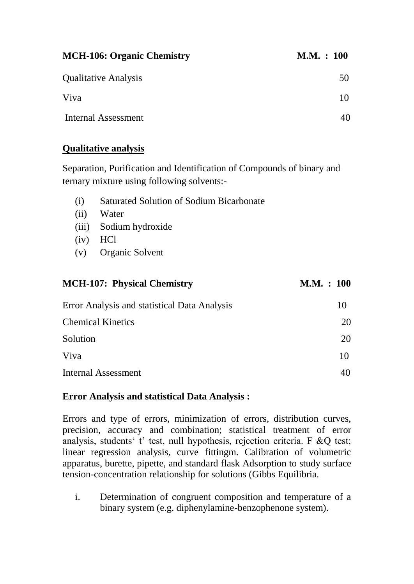| <b>MCH-106: Organic Chemistry</b> | M.M. : 100 |
|-----------------------------------|------------|
| <b>Qualitative Analysis</b>       | 50         |
| Viva                              | 10         |
| Internal Assessment               |            |

# **Qualitative analysis**

Separation, Purification and Identification of Compounds of binary and ternary mixture using following solvents:-

- (i) Saturated Solution of Sodium Bicarbonate
- (ii) Water
- (iii) Sodium hydroxide
- (iv) HCl
- (v) Organic Solvent

# **MCH-107: Physical Chemistry M.M. : 100**

| Error Analysis and statistical Data Analysis | $\mathbf{I}(\mathbf{I})$ |
|----------------------------------------------|--------------------------|
| <b>Chemical Kinetics</b>                     | 20                       |
| Solution                                     | 20                       |
| Viva                                         | 10                       |
| <b>Internal Assessment</b>                   |                          |

## **Error Analysis and statistical Data Analysis :**

Errors and type of errors, minimization of errors, distribution curves, precision, accuracy and combination; statistical treatment of error analysis, students' t' test, null hypothesis, rejection criteria. F &Q test; linear regression analysis, curve fittingm. Calibration of volumetric apparatus, burette, pipette, and standard flask Adsorption to study surface tension-concentration relationship for solutions (Gibbs Equilibria.

i. Determination of congruent composition and temperature of a binary system (e.g. diphenylamine-benzophenone system).